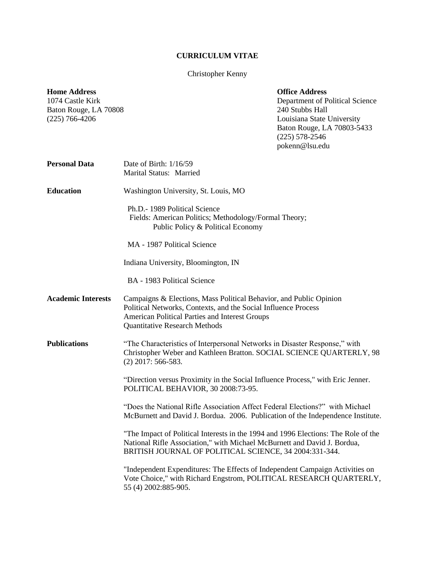## **CURRICULUM VITAE**

## Christopher Kenny

| <b>Home Address</b><br>1074 Castle Kirk<br>Baton Rouge, LA 70808<br>$(225)$ 766-4206 |                                                                                                                                                                                                                                | <b>Office Address</b><br>Department of Political Science<br>240 Stubbs Hall<br>Louisiana State University<br>Baton Rouge, LA 70803-5433<br>$(225)$ 578-2546<br>pokenn@lsu.edu |
|--------------------------------------------------------------------------------------|--------------------------------------------------------------------------------------------------------------------------------------------------------------------------------------------------------------------------------|-------------------------------------------------------------------------------------------------------------------------------------------------------------------------------|
| <b>Personal Data</b>                                                                 | Date of Birth: 1/16/59<br>Marital Status: Married                                                                                                                                                                              |                                                                                                                                                                               |
| <b>Education</b>                                                                     | Washington University, St. Louis, MO                                                                                                                                                                                           |                                                                                                                                                                               |
|                                                                                      | Ph.D.- 1989 Political Science<br>Fields: American Politics; Methodology/Formal Theory;<br>Public Policy & Political Economy                                                                                                    |                                                                                                                                                                               |
|                                                                                      | MA - 1987 Political Science                                                                                                                                                                                                    |                                                                                                                                                                               |
|                                                                                      | Indiana University, Bloomington, IN                                                                                                                                                                                            |                                                                                                                                                                               |
|                                                                                      | BA - 1983 Political Science                                                                                                                                                                                                    |                                                                                                                                                                               |
| <b>Academic Interests</b>                                                            | Campaigns & Elections, Mass Political Behavior, and Public Opinion<br>Political Networks, Contexts, and the Social Influence Process<br>American Political Parties and Interest Groups<br><b>Quantitative Research Methods</b> |                                                                                                                                                                               |
| <b>Publications</b>                                                                  | "The Characteristics of Interpersonal Networks in Disaster Response," with<br>Christopher Weber and Kathleen Bratton. SOCIAL SCIENCE QUARTERLY, 98<br>$(2)$ 2017: 566-583.                                                     |                                                                                                                                                                               |
|                                                                                      | "Direction versus Proximity in the Social Influence Process," with Eric Jenner.<br>POLITICAL BEHAVIOR, 30 2008:73-95.                                                                                                          |                                                                                                                                                                               |
|                                                                                      | "Does the National Rifle Association Affect Federal Elections?" with Michael<br>McBurnett and David J. Bordua. 2006. Publication of the Independence Institute.                                                                |                                                                                                                                                                               |
|                                                                                      | "The Impact of Political Interests in the 1994 and 1996 Elections: The Role of the<br>National Rifle Association," with Michael McBurnett and David J. Bordua,<br>BRITISH JOURNAL OF POLITICAL SCIENCE, 34 2004:331-344.       |                                                                                                                                                                               |
|                                                                                      | "Independent Expenditures: The Effects of Independent Campaign Activities on<br>Vote Choice," with Richard Engstrom, POLITICAL RESEARCH QUARTERLY,<br>55 (4) 2002:885-905.                                                     |                                                                                                                                                                               |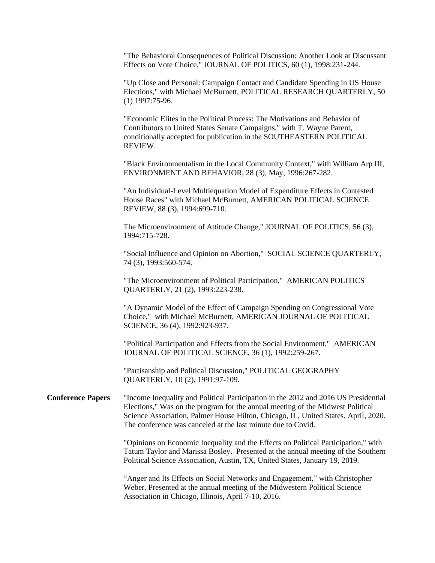"The Behavioral Consequences of Political Discussion: Another Look at Discussant Effects on Vote Choice," JOURNAL OF POLITICS, 60 (1), 1998:231-244.

"Up Close and Personal: Campaign Contact and Candidate Spending in US House Elections," with Michael McBurnett, POLITICAL RESEARCH QUARTERLY, 50 (1) 1997:75-96.

"Economic Elites in the Political Process: The Motivations and Behavior of Contributors to United States Senate Campaigns," with T. Wayne Parent, conditionally accepted for publication in the SOUTHEASTERN POLITICAL REVIEW.

"Black Environmentalism in the Local Community Context," with William Arp III, ENVIRONMENT AND BEHAVIOR, 28 (3), May, 1996:267-282.

"An Individual-Level Multiequation Model of Expenditure Effects in Contested House Races" with Michael McBurnett, AMERICAN POLITICAL SCIENCE REVIEW, 88 (3), 1994:699-710.

The Microenvironment of Attitude Change," JOURNAL OF POLITICS, 56 (3), 1994:715-728.

"Social Influence and Opinion on Abortion," SOCIAL SCIENCE QUARTERLY, 74 (3), 1993:560-574.

"The Microenvironment of Political Participation," AMERICAN POLITICS QUARTERLY, 21 (2), 1993:223-238.

"A Dynamic Model of the Effect of Campaign Spending on Congressional Vote Choice," with Michael McBurnett, AMERICAN JOURNAL OF POLITICAL SCIENCE, 36 (4), 1992:923-937.

"Political Participation and Effects from the Social Environment," AMERICAN JOURNAL OF POLITICAL SCIENCE, 36 (1), 1992:259-267.

"Partisanship and Political Discussion," POLITICAL GEOGRAPHY QUARTERLY, 10 (2), 1991:97-109.

**Conference Papers** "Income Inequality and Political Participation in the 2012 and 2016 US Presidential Elections," Was on the program for the annual meeting of the Midwest Political Science Association, Palmer House Hilton, Chicago, IL, United States, April, 2020. The conference was canceled at the last minute due to Covid.

> "Opinions on Economic Inequality and the Effects on Political Participation," with Tatum Taylor and Marissa Bosley. Presented at the annual meeting of the Southern Political Science Association, Austin, TX, United States, January 19, 2019.

"Anger and Its Effects on Social Networks and Engagement," with Christopher Weber. Presented at the annual meeting of the Midwestern Political Science Association in Chicago, Illinois, April 7-10, 2016.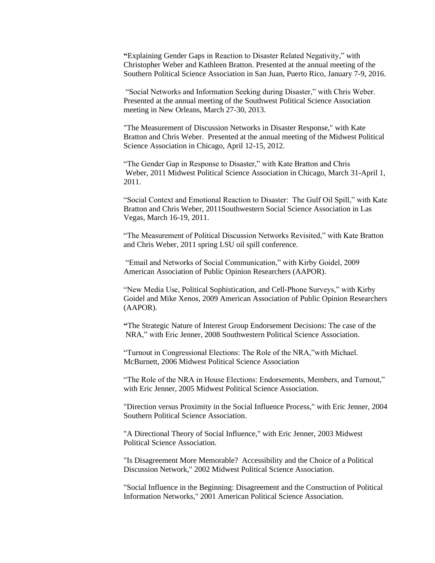**"**Explaining Gender Gaps in Reaction to Disaster Related Negativity," with Christopher Weber and Kathleen Bratton. Presented at the annual meeting of the Southern Political Science Association in San Juan, Puerto Rico, January 7-9, 2016.

"Social Networks and Information Seeking during Disaster," with Chris Weber. Presented at the annual meeting of the Southwest Political Science Association meeting in New Orleans, March 27-30, 2013.

"The Measurement of Discussion Networks in Disaster Response," with Kate Bratton and Chris Weber. Presented at the annual meeting of the Midwest Political Science Association in Chicago, April 12-15, 2012.

"The Gender Gap in Response to Disaster," with Kate Bratton and Chris Weber, 2011 Midwest Political Science Association in Chicago, March 31-April 1, 2011.

"Social Context and Emotional Reaction to Disaster: The Gulf Oil Spill," with Kate Bratton and Chris Weber, 2011Southwestern Social Science Association in Las Vegas, March 16-19, 2011.

"The Measurement of Political Discussion Networks Revisited," with Kate Bratton and Chris Weber, 2011 spring LSU oil spill conference.

"Email and Networks of Social Communication," with Kirby Goidel, 2009 American Association of Public Opinion Researchers (AAPOR).

"New Media Use, Political Sophistication, and Cell-Phone Surveys," with Kirby Goidel and Mike Xenos, 2009 American Association of Public Opinion Researchers (AAPOR).

**"**The Strategic Nature of Interest Group Endorsement Decisions: The case of the NRA," with Eric Jenner, 2008 Southwestern Political Science Association.

"Turnout in Congressional Elections: The Role of the NRA,"with Michael. McBurnett, 2006 Midwest Political Science Association

"The Role of the NRA in House Elections: Endorsements, Members, and Turnout," with Eric Jenner, 2005 Midwest Political Science Association.

"Direction versus Proximity in the Social Influence Process," with Eric Jenner, 2004 Southern Political Science Association.

"A Directional Theory of Social Influence," with Eric Jenner, 2003 Midwest Political Science Association.

"Is Disagreement More Memorable? Accessibility and the Choice of a Political Discussion Network," 2002 Midwest Political Science Association.

"Social Influence in the Beginning: Disagreement and the Construction of Political Information Networks," 2001 American Political Science Association.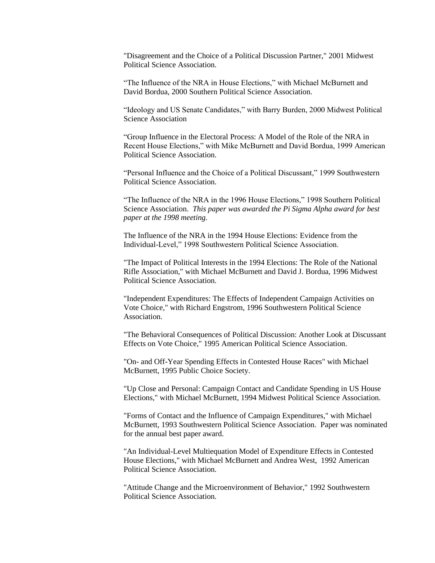"Disagreement and the Choice of a Political Discussion Partner," 2001 Midwest Political Science Association.

"The Influence of the NRA in House Elections," with Michael McBurnett and David Bordua, 2000 Southern Political Science Association.

"Ideology and US Senate Candidates," with Barry Burden, 2000 Midwest Political Science Association

"Group Influence in the Electoral Process: A Model of the Role of the NRA in Recent House Elections," with Mike McBurnett and David Bordua, 1999 American Political Science Association.

"Personal Influence and the Choice of a Political Discussant," 1999 Southwestern Political Science Association.

"The Influence of the NRA in the 1996 House Elections," 1998 Southern Political Science Association. *This paper was awarded the Pi Sigma Alpha award for best paper at the 1998 meeting.*

The Influence of the NRA in the 1994 House Elections: Evidence from the Individual-Level," 1998 Southwestern Political Science Association.

"The Impact of Political Interests in the 1994 Elections: The Role of the National Rifle Association," with Michael McBurnett and David J. Bordua, 1996 Midwest Political Science Association.

"Independent Expenditures: The Effects of Independent Campaign Activities on Vote Choice," with Richard Engstrom, 1996 Southwestern Political Science Association.

"The Behavioral Consequences of Political Discussion: Another Look at Discussant Effects on Vote Choice," 1995 American Political Science Association.

"On- and Off-Year Spending Effects in Contested House Races" with Michael McBurnett, 1995 Public Choice Society.

"Up Close and Personal: Campaign Contact and Candidate Spending in US House Elections," with Michael McBurnett, 1994 Midwest Political Science Association.

"Forms of Contact and the Influence of Campaign Expenditures," with Michael McBurnett, 1993 Southwestern Political Science Association. Paper was nominated for the annual best paper award.

"An Individual-Level Multiequation Model of Expenditure Effects in Contested House Elections," with Michael McBurnett and Andrea West, 1992 American Political Science Association.

"Attitude Change and the Microenvironment of Behavior," 1992 Southwestern Political Science Association.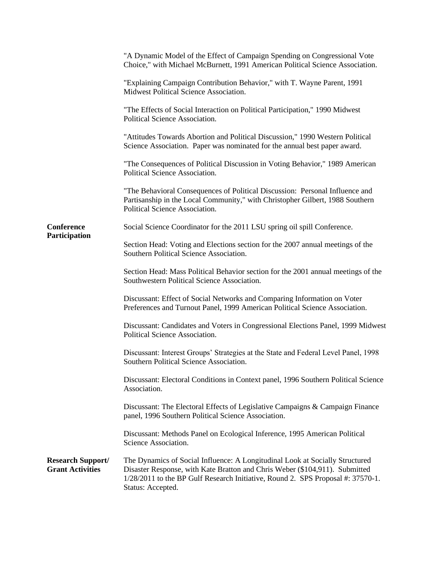|                                                     | "A Dynamic Model of the Effect of Campaign Spending on Congressional Vote<br>Choice," with Michael McBurnett, 1991 American Political Science Association.                                                                                                          |
|-----------------------------------------------------|---------------------------------------------------------------------------------------------------------------------------------------------------------------------------------------------------------------------------------------------------------------------|
|                                                     | "Explaining Campaign Contribution Behavior," with T. Wayne Parent, 1991<br>Midwest Political Science Association.                                                                                                                                                   |
|                                                     | "The Effects of Social Interaction on Political Participation," 1990 Midwest<br>Political Science Association.                                                                                                                                                      |
|                                                     | "Attitudes Towards Abortion and Political Discussion," 1990 Western Political<br>Science Association. Paper was nominated for the annual best paper award.                                                                                                          |
|                                                     | "The Consequences of Political Discussion in Voting Behavior," 1989 American<br>Political Science Association.                                                                                                                                                      |
|                                                     | "The Behavioral Consequences of Political Discussion: Personal Influence and<br>Partisanship in the Local Community," with Christopher Gilbert, 1988 Southern<br>Political Science Association.                                                                     |
| Conference<br>Participation                         | Social Science Coordinator for the 2011 LSU spring oil spill Conference.                                                                                                                                                                                            |
|                                                     | Section Head: Voting and Elections section for the 2007 annual meetings of the<br>Southern Political Science Association.                                                                                                                                           |
|                                                     | Section Head: Mass Political Behavior section for the 2001 annual meetings of the<br>Southwestern Political Science Association.                                                                                                                                    |
|                                                     | Discussant: Effect of Social Networks and Comparing Information on Voter<br>Preferences and Turnout Panel, 1999 American Political Science Association.                                                                                                             |
|                                                     | Discussant: Candidates and Voters in Congressional Elections Panel, 1999 Midwest<br>Political Science Association.                                                                                                                                                  |
|                                                     | Discussant: Interest Groups' Strategies at the State and Federal Level Panel, 1998<br>Southern Political Science Association.                                                                                                                                       |
|                                                     | Discussant: Electoral Conditions in Context panel, 1996 Southern Political Science<br>Association.                                                                                                                                                                  |
|                                                     | Discussant: The Electoral Effects of Legislative Campaigns & Campaign Finance<br>panel, 1996 Southern Political Science Association.                                                                                                                                |
|                                                     | Discussant: Methods Panel on Ecological Inference, 1995 American Political<br>Science Association.                                                                                                                                                                  |
| <b>Research Support/</b><br><b>Grant Activities</b> | The Dynamics of Social Influence: A Longitudinal Look at Socially Structured<br>Disaster Response, with Kate Bratton and Chris Weber (\$104,911). Submitted<br>1/28/2011 to the BP Gulf Research Initiative, Round 2. SPS Proposal #: 37570-1.<br>Status: Accepted. |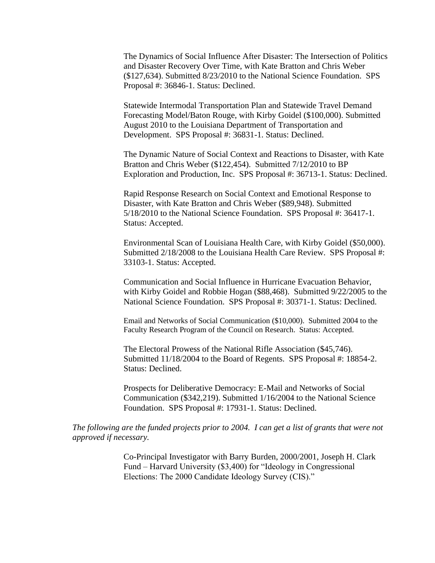The Dynamics of Social Influence After Disaster: The Intersection of Politics and Disaster Recovery Over Time, with Kate Bratton and Chris Weber (\$127,634). Submitted 8/23/2010 to the National Science Foundation. SPS Proposal #: 36846-1. Status: Declined.

Statewide Intermodal Transportation Plan and Statewide Travel Demand Forecasting Model/Baton Rouge, with Kirby Goidel (\$100,000). Submitted August 2010 to the Louisiana Department of Transportation and Development. SPS Proposal #: 36831-1. Status: Declined.

The Dynamic Nature of Social Context and Reactions to Disaster, with Kate Bratton and Chris Weber (\$122,454). Submitted 7/12/2010 to BP Exploration and Production, Inc. SPS Proposal #: 36713-1. Status: Declined.

Rapid Response Research on Social Context and Emotional Response to Disaster, with Kate Bratton and Chris Weber (\$89,948). Submitted 5/18/2010 to the National Science Foundation. SPS Proposal #: 36417-1. Status: Accepted.

Environmental Scan of Louisiana Health Care, with Kirby Goidel (\$50,000). Submitted 2/18/2008 to the Louisiana Health Care Review. SPS Proposal #: 33103-1. Status: Accepted.

Communication and Social Influence in Hurricane Evacuation Behavior, with Kirby Goidel and Robbie Hogan (\$88,468). Submitted 9/22/2005 to the National Science Foundation. SPS Proposal #: 30371-1. Status: Declined.

Email and Networks of Social Communication (\$10,000). Submitted 2004 to the Faculty Research Program of the Council on Research. Status: Accepted.

The Electoral Prowess of the National Rifle Association (\$45,746). Submitted 11/18/2004 to the Board of Regents. SPS Proposal #: 18854-2. Status: Declined.

Prospects for Deliberative Democracy: E-Mail and Networks of Social Communication (\$342,219). Submitted 1/16/2004 to the National Science Foundation. SPS Proposal #: 17931-1. Status: Declined.

*The following are the funded projects prior to 2004. I can get a list of grants that were not approved if necessary.*

> Co-Principal Investigator with Barry Burden, 2000/2001, Joseph H. Clark Fund – Harvard University (\$3,400) for "Ideology in Congressional Elections: The 2000 Candidate Ideology Survey (CIS)."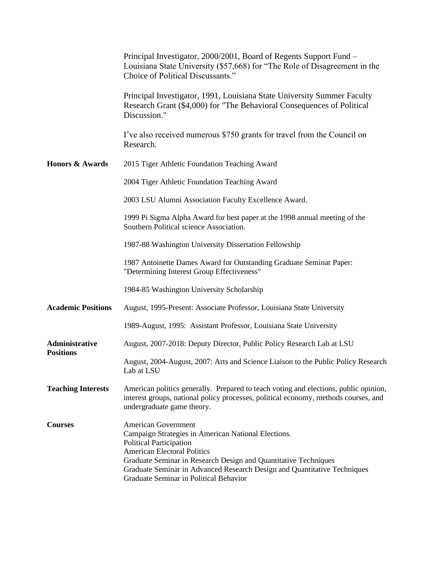|                                    | Principal Investigator, 2000/2001, Board of Regents Support Fund –<br>Louisiana State University (\$57,668) for "The Role of Disagreement in the<br>Choice of Political Discussants."                                                                                                                                                              |
|------------------------------------|----------------------------------------------------------------------------------------------------------------------------------------------------------------------------------------------------------------------------------------------------------------------------------------------------------------------------------------------------|
|                                    | Principal Investigator, 1991, Louisiana State University Summer Faculty<br>Research Grant (\$4,000) for "The Behavioral Consequences of Political<br>Discussion."                                                                                                                                                                                  |
|                                    | I've also received numerous \$750 grants for travel from the Council on<br>Research.                                                                                                                                                                                                                                                               |
| <b>Honors &amp; Awards</b>         | 2015 Tiger Athletic Foundation Teaching Award                                                                                                                                                                                                                                                                                                      |
|                                    | 2004 Tiger Athletic Foundation Teaching Award                                                                                                                                                                                                                                                                                                      |
|                                    | 2003 LSU Alumni Association Faculty Excellence Award.                                                                                                                                                                                                                                                                                              |
|                                    | 1999 Pi Sigma Alpha Award for best paper at the 1998 annual meeting of the<br>Southern Political science Association.                                                                                                                                                                                                                              |
|                                    | 1987-88 Washington University Dissertation Fellowship                                                                                                                                                                                                                                                                                              |
|                                    | 1987 Antoinette Dames Award for Outstanding Graduate Seminar Paper:<br>"Determining Interest Group Effectiveness"                                                                                                                                                                                                                                  |
|                                    | 1984-85 Washington University Scholarship                                                                                                                                                                                                                                                                                                          |
| <b>Academic Positions</b>          | August, 1995-Present: Associate Professor, Louisiana State University                                                                                                                                                                                                                                                                              |
|                                    | 1989-August, 1995: Assistant Professor, Louisiana State University                                                                                                                                                                                                                                                                                 |
| Administrative<br><b>Positions</b> | August, 2007-2018: Deputy Director, Public Policy Research Lab at LSU                                                                                                                                                                                                                                                                              |
|                                    | August, 2004-August, 2007: Arts and Science Liaison to the Public Policy Research<br>Lab at LSU                                                                                                                                                                                                                                                    |
| <b>Teaching Interests</b>          | American politics generally. Prepared to teach voting and elections, public opinion,<br>interest groups, national policy processes, political economy, methods courses, and<br>undergraduate game theory.                                                                                                                                          |
| <b>Courses</b>                     | <b>American Government</b><br>Campaign Strategies in American National Elections.<br><b>Political Participation</b><br><b>American Electoral Politics</b><br>Graduate Seminar in Research Design and Quantitative Techniques<br>Graduate Seminar in Advanced Research Design and Quantitative Techniques<br>Graduate Seminar in Political Behavior |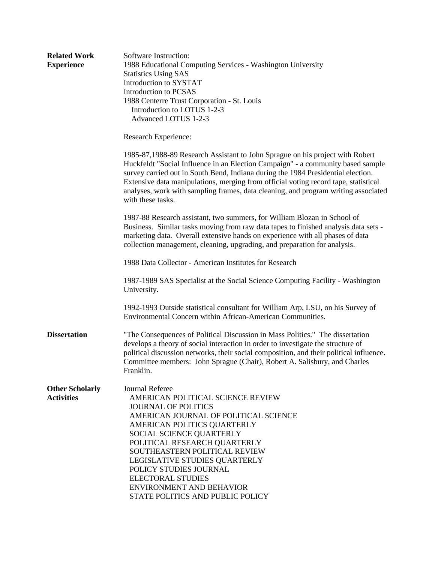| <b>Related Work</b><br><b>Experience</b>    | Software Instruction:<br>1988 Educational Computing Services - Washington University<br><b>Statistics Using SAS</b><br>Introduction to SYSTAT<br>Introduction to PCSAS<br>1988 Centerre Trust Corporation - St. Louis<br>Introduction to LOTUS 1-2-3<br>Advanced LOTUS 1-2-3                                                                                                                                                                           |  |  |
|---------------------------------------------|--------------------------------------------------------------------------------------------------------------------------------------------------------------------------------------------------------------------------------------------------------------------------------------------------------------------------------------------------------------------------------------------------------------------------------------------------------|--|--|
|                                             | Research Experience:                                                                                                                                                                                                                                                                                                                                                                                                                                   |  |  |
|                                             | 1985-87,1988-89 Research Assistant to John Sprague on his project with Robert<br>Huckfeldt "Social Influence in an Election Campaign" - a community based sample<br>survey carried out in South Bend, Indiana during the 1984 Presidential election.<br>Extensive data manipulations, merging from official voting record tape, statistical<br>analyses, work with sampling frames, data cleaning, and program writing associated<br>with these tasks. |  |  |
|                                             | 1987-88 Research assistant, two summers, for William Blozan in School of<br>Business. Similar tasks moving from raw data tapes to finished analysis data sets -<br>marketing data. Overall extensive hands on experience with all phases of data<br>collection management, cleaning, upgrading, and preparation for analysis.                                                                                                                          |  |  |
|                                             | 1988 Data Collector - American Institutes for Research                                                                                                                                                                                                                                                                                                                                                                                                 |  |  |
|                                             | 1987-1989 SAS Specialist at the Social Science Computing Facility - Washington<br>University.                                                                                                                                                                                                                                                                                                                                                          |  |  |
|                                             | 1992-1993 Outside statistical consultant for William Arp, LSU, on his Survey of<br>Environmental Concern within African-American Communities.                                                                                                                                                                                                                                                                                                          |  |  |
| <b>Dissertation</b>                         | "The Consequences of Political Discussion in Mass Politics." The dissertation<br>develops a theory of social interaction in order to investigate the structure of<br>political discussion networks, their social composition, and their political influence.<br>Committee members: John Sprague (Chair), Robert A. Salisbury, and Charles<br>Franklin.                                                                                                 |  |  |
| <b>Other Scholarly</b><br><b>Activities</b> | <b>Journal Referee</b><br>AMERICAN POLITICAL SCIENCE REVIEW<br><b>JOURNAL OF POLITICS</b><br>AMERICAN JOURNAL OF POLITICAL SCIENCE<br>AMERICAN POLITICS QUARTERLY<br>SOCIAL SCIENCE QUARTERLY<br>POLITICAL RESEARCH QUARTERLY<br>SOUTHEASTERN POLITICAL REVIEW<br>LEGISLATIVE STUDIES QUARTERLY<br>POLICY STUDIES JOURNAL<br><b>ELECTORAL STUDIES</b><br><b>ENVIRONMENT AND BEHAVIOR</b><br>STATE POLITICS AND PUBLIC POLICY                           |  |  |